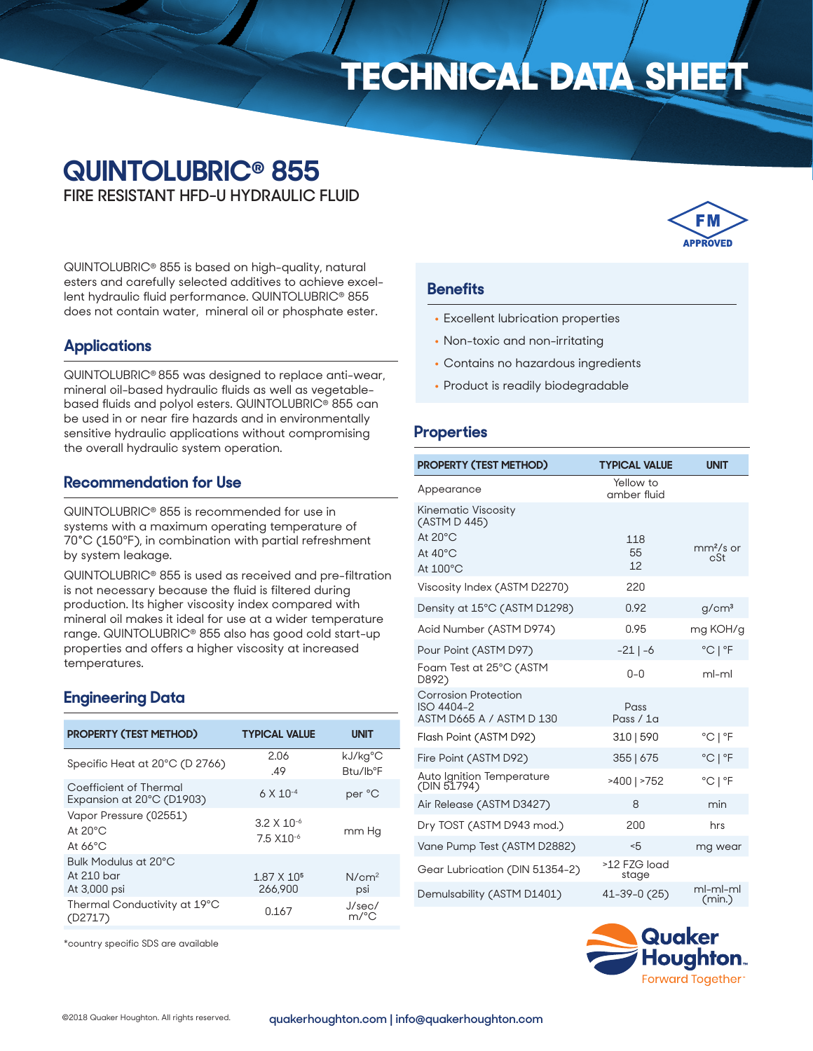# **TECHNICAL DATA SHEET**

# **QUINTOLUBRIC® 855**

**FIRE RESISTANT HFD-U HYDRAULIC FLUID**

QUINTOLUBRIC® 855 is based on high-quality, natural esters and carefully selected additives to achieve excellent hydraulic fluid performance. QUINTOLUBRIC® 855 does not contain water, mineral oil or phosphate ester.

### **Applications**

QUINTOLUBRIC® 855 was designed to replace anti-wear, mineral oil-based hydraulic fluids as well as vegetablebased fluids and polyol esters. QUINTOLUBRIC® 855 can be used in or near fire hazards and in environmentally sensitive hydraulic applications without compromising the overall hydraulic system operation.

# **Recommendation for Use**

QUINTOLUBRIC® 855 is recommended for use in systems with a maximum operating temperature of 70°C (150ºF), in combination with partial refreshment by system leakage.

QUINTOLUBRIC® 855 is used as received and pre-filtration is not necessary because the fluid is filtered during production. Its higher viscosity index compared with mineral oil makes it ideal for use at a wider temperature range. QUINTOLUBRIC® 855 also has good cold start-up properties and offers a higher viscosity at increased temperatures.

# **Engineering Data**

| <b>PROPERTY (TEST METHOD)</b>                                    | <b>TYPICAL VALUE</b>                   | <b>UNIT</b>                      |
|------------------------------------------------------------------|----------------------------------------|----------------------------------|
| Specific Heat at 20°C (D 2766)                                   | 2.06<br>.49                            | kJ/kg°C<br>Btu/lb <sup>o</sup> F |
| Coefficient of Thermal<br>Expansion at 20°C (D1903)              | $6 \times 10^{-4}$                     | per °C                           |
| Vapor Pressure (02551)<br>At $20^{\circ}$ C<br>At $66^{\circ}$ C | $3.2 \times 10^{-6}$<br>$7.5 X10^{-6}$ | mm Ha                            |
| Bulk Modulus at 20°C<br>At 210 bar<br>At 3,000 psi               | $1.87 \times 10^5$<br>266,900          | N/cm <sup>2</sup><br>psi         |
| Thermal Conductivity at 19°C<br>(D2717)                          | 0.167                                  | J/sec/<br>$m$ /°C                |

**IPPROVED** 

#### **Benefits**

- Excellent lubrication properties
- Non-toxic and non-irritating
- Contains no hazardous ingredients
- Product is readily biodegradable

#### **Properties**

| <b>PROPERTY (TEST METHOD)</b>                                                                    | <b>TYPICAL VALUE</b>     | <b>UNIT</b>                 |
|--------------------------------------------------------------------------------------------------|--------------------------|-----------------------------|
| Appearance                                                                                       | Yellow to<br>amber fluid |                             |
| <b>Kinematic Viscosity</b><br>(ASTM D 445)<br>At $20^{\circ}$ C<br>At $40^{\circ}$ C<br>At 100°C | 118<br>55<br>12          | $mm2/s$ or<br>cSt           |
| Viscosity Index (ASTM D2270)                                                                     | 220                      |                             |
| Density at 15°C (ASTM D1298)                                                                     | 0.92                     | g/cm <sup>3</sup>           |
| Acid Number (ASTM D974)                                                                          | 0.95                     | mg KOH/g                    |
| Pour Point (ASTM D97)                                                                            | $-21$   $-6$             | $^{\circ}$ C   $^{\circ}$ F |
| Foam Test at 25°C (ASTM<br>D892)                                                                 | $0 - 0$                  | ml-ml                       |
| <b>Corrosion Protection</b><br>ISO 4404-2<br>ASTM D665 A / ASTM D 130                            | Pass<br>Pass $/1a$       |                             |
| Flash Point (ASTM D92)                                                                           | 310   590                | $^{\circ}$ C   $^{\circ}$ F |
| Fire Point (ASTM D92)                                                                            | 355   675                | $^{\circ}$ C   $^{\circ}$ F |
| Auto Ignition Temperature<br>(DIN 51794)                                                         | >400   >752              | °C   °F                     |
| Air Release (ASTM D3427)                                                                         | 8                        | min                         |
| Dry TOST (ASTM D943 mod.)                                                                        | 200                      | hrs                         |
| Vane Pump Test (ASTM D2882)                                                                      | 5                        | mg wear                     |
| Gear Lubrication (DIN 51354-2)                                                                   | >12 FZG load<br>stage    |                             |
| Demulsability (ASTM D1401)                                                                       | 41–39–0 (25)             | ml-ml-ml<br>(min.)          |



\*country specific SDS are available